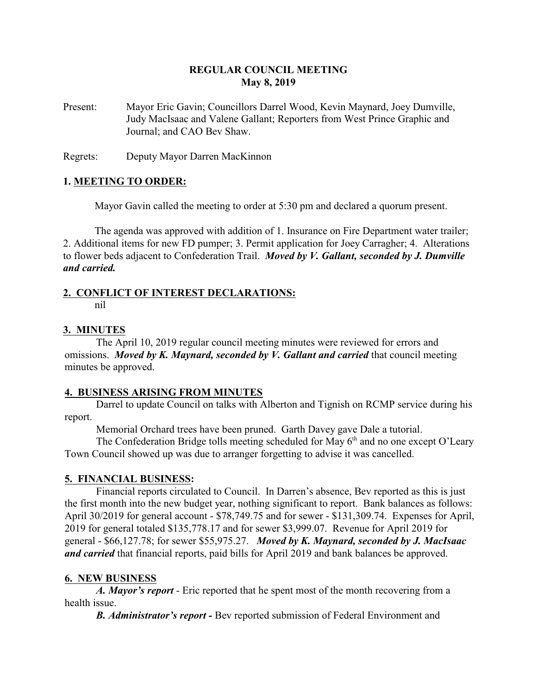## **REGULAR COUNCIL MEETING May 8, 2019**

Present: Mayor Eric Gavin; Councillors Darrel Wood, Kevin Maynard, Joey Dumville, Judy MacIsaac and Valene Gallant; Reporters from West Prince Graphic and Journal; and CAO Bev Shaw.

Regrets: Deputy Mayor Darren MacKinnon

#### **1. MEETING TO ORDER:**

Mayor Gavin called the meeting to order at 5:30 pm and declared a quorum present.

The agenda was approved with addition of 1. Insurance on Fire Department water trailer; 2. Additional items for new FD pumper; 3. Permit application for Joey Carragher; 4. Alterations to flower beds adjacent to Confederation Trail. *Moved by V. Gallant, seconded by J. Dumville and carried.*

# **2. CONFLICT OF INTEREST DECLARATIONS:**

nil

#### **3. MINUTES**

The April 10, 2019 regular council meeting minutes were reviewed for errors and omissions. *Moved by K. Maynard, seconded by V. Gallant and carried* that council meeting minutes be approved.

#### **4. BUSINESS ARISING FROM MINUTES**

Darrel to update Council on talks with Alberton and Tignish on RCMP service during his report.

Memorial Orchard trees have been pruned. Garth Davey gave Dale a tutorial.

The Confederation Bridge tolls meeting scheduled for May 6<sup>th</sup> and no one except O'Leary Town Council showed up was due to arranger forgetting to advise it was cancelled.

#### **5. FINANCIAL BUSINESS:**

Financial reports circulated to Council. In Darren's absence, Bev reported as this is just the first month into the new budget year, nothing significant to report. Bank balances as follows: April 30/2019 for general account - \$78,749.75 and for sewer - \$131,309.74. Expenses for April, 2019 for general totaled \$135,778.17 and for sewer \$3,999.07. Revenue for April 2019 for general - \$66,127.78; for sewer \$55,975.27. *Moved by K. Maynard, seconded by J. MacIsaac and carried* that financial reports, paid bills for April 2019 and bank balances be approved.

#### **6. NEW BUSINESS**

*A. Mayor's report* - Eric reported that he spent most of the month recovering from a health issue.

*B. Administrator's report -* Bev reported submission of Federal Environment and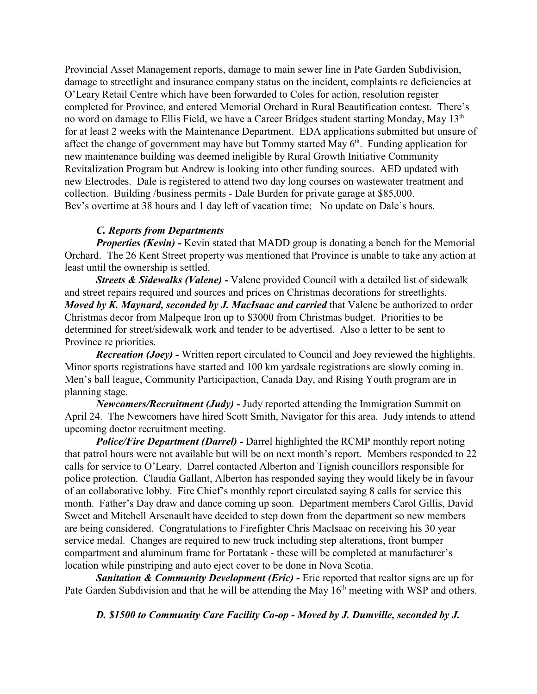Provincial Asset Management reports, damage to main sewer line in Pate Garden Subdivision, damage to streetlight and insurance company status on the incident, complaints re deficiencies at O'Leary Retail Centre which have been forwarded to Coles for action, resolution register completed for Province, and entered Memorial Orchard in Rural Beautification contest. There's no word on damage to Ellis Field, we have a Career Bridges student starting Monday, May 13<sup>th</sup> for at least 2 weeks with the Maintenance Department. EDA applications submitted but unsure of affect the change of government may have but Tommy started May  $6<sup>th</sup>$ . Funding application for new maintenance building was deemed ineligible by Rural Growth Initiative Community Revitalization Program but Andrew is looking into other funding sources. AED updated with new Electrodes. Dale is registered to attend two day long courses on wastewater treatment and collection. Building /business permits - Dale Burden for private garage at \$85,000. Bev's overtime at 38 hours and 1 day left of vacation time; No update on Dale's hours.

#### *C. Reports from Departments*

*Properties (Kevin)* - Kevin stated that MADD group is donating a bench for the Memorial Orchard. The 26 Kent Street property was mentioned that Province is unable to take any action at least until the ownership is settled.

*Streets & Sidewalks (Valene) -* Valene provided Council with a detailed list of sidewalk and street repairs required and sources and prices on Christmas decorations for streetlights. *Moved by K. Maynard, seconded by J. MacIsaac and carried* that Valene be authorized to order Christmas decor from Malpeque Iron up to \$3000 from Christmas budget. Priorities to be determined for street/sidewalk work and tender to be advertised. Also a letter to be sent to Province re priorities.

*Recreation (Joey) -* Written report circulated to Council and Joey reviewed the highlights. Minor sports registrations have started and 100 km yardsale registrations are slowly coming in. Men's ball league, Community Participaction, Canada Day, and Rising Youth program are in planning stage.

*Newcomers/Recruitment (Judy) -* Judy reported attending the Immigration Summit on April 24. The Newcomers have hired Scott Smith, Navigator for this area. Judy intends to attend upcoming doctor recruitment meeting.

*Police/Fire Department (Darrel) -* Darrel highlighted the RCMP monthly report noting that patrol hours were not available but will be on next month's report. Members responded to 22 calls for service to O'Leary. Darrel contacted Alberton and Tignish councillors responsible for police protection. Claudia Gallant, Alberton has responded saying they would likely be in favour of an collaborative lobby. Fire Chief's monthly report circulated saying 8 calls for service this month. Father's Day draw and dance coming up soon. Department members Carol Gillis, David Sweet and Mitchell Arsenault have decided to step down from the department so new members are being considered. Congratulations to Firefighter Chris MacIsaac on receiving his 30 year service medal. Changes are required to new truck including step alterations, front bumper compartment and aluminum frame for Portatank - these will be completed at manufacturer's location while pinstriping and auto eject cover to be done in Nova Scotia.

**Sanitation & Community Development (Eric) - Eric reported that realtor signs are up for** Pate Garden Subdivision and that he will be attending the May  $16<sup>th</sup>$  meeting with WSP and others.

*D. \$1500 to Community Care Facility Co-op - Moved by J. Dumville, seconded by J.*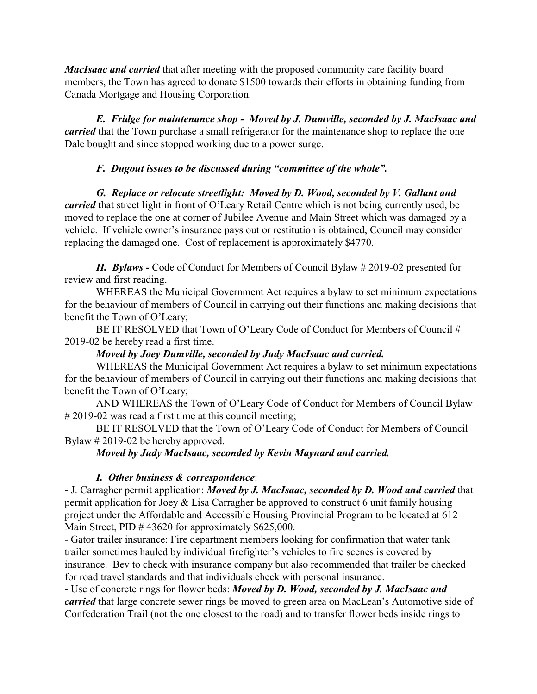*MacIsaac and carried* that after meeting with the proposed community care facility board members, the Town has agreed to donate \$1500 towards their efforts in obtaining funding from Canada Mortgage and Housing Corporation.

*E. Fridge for maintenance shop - Moved by J. Dumville, seconded by J. MacIsaac and carried* that the Town purchase a small refrigerator for the maintenance shop to replace the one Dale bought and since stopped working due to a power surge.

# *F. Dugout issues to be discussed during "committee of the whole".*

*G. Replace or relocate streetlight: Moved by D. Wood, seconded by V. Gallant and carried* that street light in front of O'Leary Retail Centre which is not being currently used, be moved to replace the one at corner of Jubilee Avenue and Main Street which was damaged by a vehicle. If vehicle owner's insurance pays out or restitution is obtained, Council may consider replacing the damaged one. Cost of replacement is approximately \$4770.

*H. Bylaws -* Code of Conduct for Members of Council Bylaw # 2019-02 presented for review and first reading.

WHEREAS the Municipal Government Act requires a bylaw to set minimum expectations for the behaviour of members of Council in carrying out their functions and making decisions that benefit the Town of O'Leary;

BE IT RESOLVED that Town of O'Leary Code of Conduct for Members of Council # 2019-02 be hereby read a first time.

## *Moved by Joey Dumville, seconded by Judy MacIsaac and carried.*

WHEREAS the Municipal Government Act requires a bylaw to set minimum expectations for the behaviour of members of Council in carrying out their functions and making decisions that benefit the Town of O'Leary;

AND WHEREAS the Town of O'Leary Code of Conduct for Members of Council Bylaw # 2019-02 was read a first time at this council meeting;

BE IT RESOLVED that the Town of O'Leary Code of Conduct for Members of Council Bylaw # 2019-02 be hereby approved.

*Moved by Judy MacIsaac, seconded by Kevin Maynard and carried.*

## *I. Other business & correspondence*:

- J. Carragher permit application: *Moved by J. MacIsaac, seconded by D. Wood and carried* that permit application for Joey & Lisa Carragher be approved to construct 6 unit family housing project under the Affordable and Accessible Housing Provincial Program to be located at 612 Main Street, PID # 43620 for approximately \$625,000.

- Gator trailer insurance: Fire department members looking for confirmation that water tank trailer sometimes hauled by individual firefighter's vehicles to fire scenes is covered by insurance. Bev to check with insurance company but also recommended that trailer be checked for road travel standards and that individuals check with personal insurance.

- Use of concrete rings for flower beds: *Moved by D. Wood, seconded by J. MacIsaac and carried* that large concrete sewer rings be moved to green area on MacLean's Automotive side of Confederation Trail (not the one closest to the road) and to transfer flower beds inside rings to